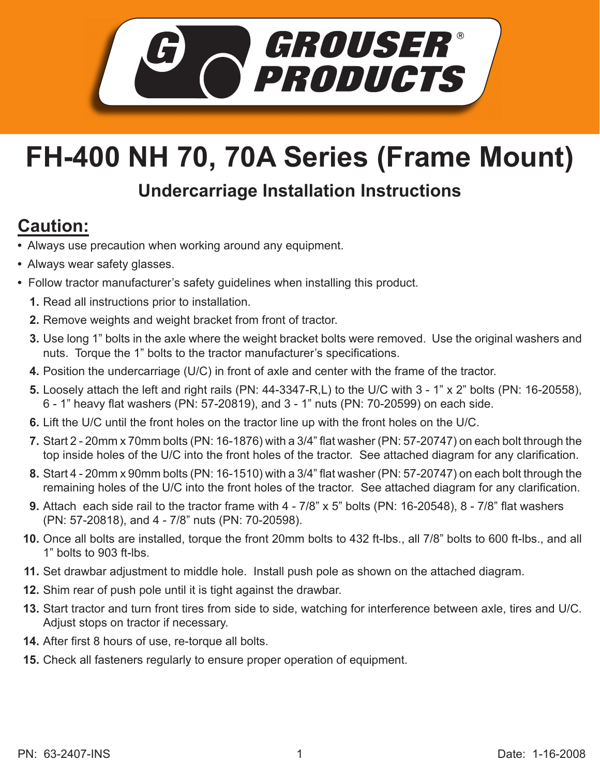

## **FH-400 NH 70, 70A Series (Frame Mount)**

## **Undercarriage Installation Instructions**

## **Caution:**

- Always use precaution when working around any equipment.
- Always wear safety glasses.
- Follow tractor manufacturer's safety guidelines when installing this product.
	- **1.** Read all instructions prior to installation.
	- **2.** Remove weights and weight bracket from front of tractor.
	- Use long 1" bolts in the axle where the weight bracket bolts were removed. Use the original washers and **3.** nuts. Torque the 1" bolts to the tractor manufacturer's specifications.
	- Position the undercarriage (U/C) in front of axle and center with the frame of the tractor. **4.**
	- Loosely attach the left and right rails (PN: 44-3347-R,L) to the U/C with 3 1" x 2" bolts (PN: 16-20558), **5.** 6 - 1" heavy flat washers (PN: 57-20819), and 3 - 1" nuts (PN: 70-20599) on each side.
	- **6.** Lift the U/C until the front holes on the tractor line up with the front holes on the U/C.
	- 7. Start 2 20mm x 70mm bolts (PN: 16-1876) with a 3/4" flat washer (PN: 57-20747) on each bolt through the top inside holes of the U/C into the front holes of the tractor. See attached diagram for any clarification.
	- **8.** Start 4 20mm x 90mm bolts (PN: 16-1510) with a 3/4" flat washer (PN: 57-20747) on each bolt through the remaining holes of the U/C into the front holes of the tractor. See attached diagram for any clarification.
	- **9.** Attach each side rail to the tractor frame with 4 7/8" x 5" bolts (PN: 16-20548), 8 7/8" flat washers (PN: 57-20818), and 4 - 7/8" nuts (PN: 70-20598).
	- **10.** Once all bolts are installed, torque the front 20mm bolts to 432 ft-lbs., all 7/8" bolts to 600 ft-lbs., and all 1" bolts to 903 ft-lbs.
	- 11. Set drawbar adjustment to middle hole. Install push pole as shown on the attached diagram.
	- **12.** Shim rear of push pole until it is tight against the drawbar.
	- 13. Start tractor and turn front tires from side to side, watching for interference between axle, tires and U/C. Adjust stops on tractor if necessary.
	- **14.** After first 8 hours of use, re-torque all bolts.
- **15.** Check all fasteners regularly to ensure proper operation of equipment.